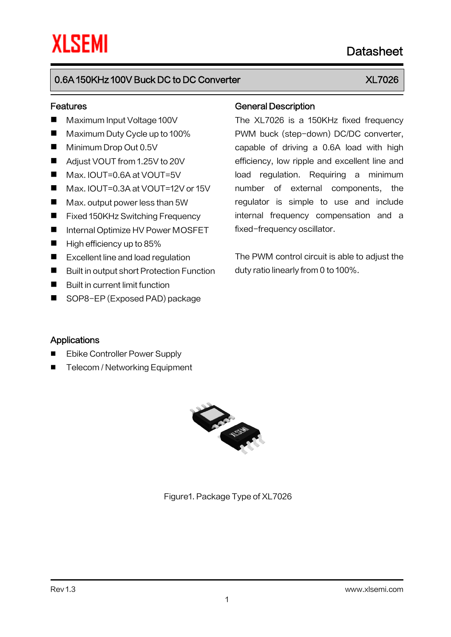# Datasheet

# 0.6A 150KHz 100V Buck DC to DC Converter XLT026

### Features

- Maximum Input Voltage 100V
- Maximum Duty Cycle up to 100%
- **Minimum Drop Out 0.5V**
- Adjust VOUT from 1.25V to 20V
- Max. IOUT=0.6A at VOUT=5V
- Max. IOUT=0.3A at VOUT=12V or 15V
- Max. output power less than 5W
- Fixed 150KHz Switching Frequency
- Internal Optimize HV Power MOSFET
- $\blacksquare$  High efficiency up to 85%
- Excellent line and load regulation
- Built in output short Protection Function
- **Built in current limit function**
- SOP8-EP (Exposed PAD) package

### General Description

The XL7026 is a 150KHz fixed frequency PWM buck (step-down) DC/DC converter, capable of driving a 0.6A load with high efficiency, low ripple and excellent line and load regulation. Requiring a minimum number of external components, the regulator is simple to use and include internal frequency compensation and a fixed-frequency oscillator.

The PWM control circuit is able to adjust the duty ratio linearly from 0 to 100%.

### Applications

- Ebike Controller Power Supply
- Telecom / Networking Equipment



Figure1. Package Type of XL7026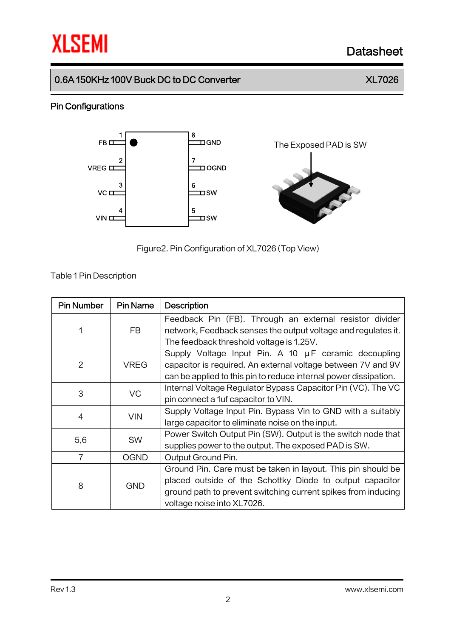# **XLSEMI** Datasheet

# 0.6A 150KHz 100V Buck DC to DC Converter XL7026

### Pin Configurations



Figure2.Pin Configuration of XL7026 (Top View)

### Table 1Pin Description

| <b>Pin Number</b> | <b>Pin Name</b> | <b>Description</b>                                                                                                       |
|-------------------|-----------------|--------------------------------------------------------------------------------------------------------------------------|
|                   | FB.             | Feedback Pin (FB). Through an external resistor divider<br>network, Feedback senses the output voltage and regulates it. |
|                   |                 | The feedback threshold voltage is 1.25V.                                                                                 |
|                   | <b>VREG</b>     | Supply Voltage Input Pin. A 10 µF ceramic decoupling                                                                     |
| $\overline{2}$    |                 | capacitor is required. An external voltage between 7V and 9V                                                             |
|                   |                 | can be applied to this pin to reduce internal power dissipation.                                                         |
| 3                 | VC              | Internal Voltage Regulator Bypass Capacitor Pin (VC). The VC                                                             |
|                   |                 | pin connect a 1uf capacitor to VIN.                                                                                      |
| 4                 | <b>VIN</b>      | Supply Voltage Input Pin. Bypass Vin to GND with a suitably                                                              |
|                   |                 | large capacitor to eliminate noise on the input.                                                                         |
|                   | <b>SW</b>       | Power Switch Output Pin (SW). Output is the switch node that                                                             |
| 5,6               |                 | supplies power to the output. The exposed PAD is SW.                                                                     |
| $\overline{7}$    | <b>OGND</b>     | Output Ground Pin.                                                                                                       |
| 8                 | <b>GND</b>      | Ground Pin. Care must be taken in layout. This pin should be                                                             |
|                   |                 | placed outside of the Schottky Diode to output capacitor                                                                 |
|                   |                 | ground path to prevent switching current spikes from inducing                                                            |
|                   |                 | voltage noise into XL7026.                                                                                               |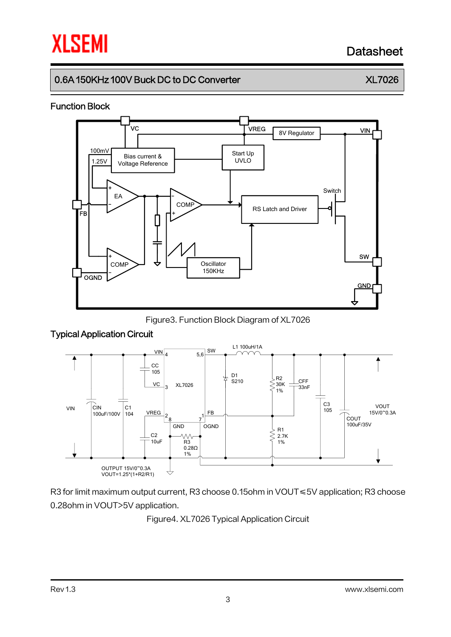# **XLSEMI**

# Datasheet

# 0.6A 150KHz 100V Buck DC to DC Converter XLT026

### Function Block



Figure3. Function Block Diagram of XL7026

### Typical Application Circuit



R3 for limit maximum output current, R3 choose 0.15ohm in VOUT ≤5V application; R3 choose 0.28ohm in VOUT>5V application.

Figure4. XL7026 Typical Application Circuit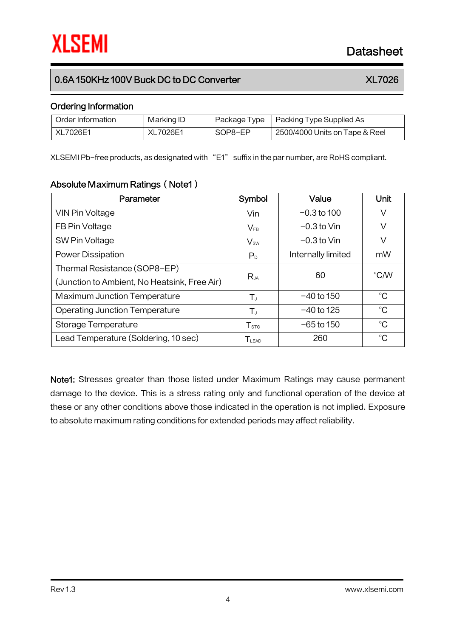## 0.6A 150KHz 100V Buck DC to DC Converter XLT026

### Ordering Information

| Order Information | Marking ID |         | Package Type   Packing Type Supplied As |
|-------------------|------------|---------|-----------------------------------------|
| XL7026E1          | XL7026E1   | SOP8-EP | 2500/4000 Units on Tape & Reel          |

XLSEMI Pb-free products, as designated with "E1" suffix in the par number, are RoHS compliant.

### Absolute Maximum Ratings (Note1)

| Parameter                                    | Symbol            | Value              | Unit          |  |
|----------------------------------------------|-------------------|--------------------|---------------|--|
| VIN Pin Voltage                              | Vin               | $-0.3$ to 100      | V             |  |
| FB Pin Voltage                               | $V_{FB}$          | $-0.3$ to Vin      | V             |  |
| SW Pin Voltage                               | $V_{sw}$          | $-0.3$ to Vin      | V             |  |
| <b>Power Dissipation</b>                     | P <sub>D</sub>    | Internally limited | mW            |  |
| Thermal Resistance (SOP8-EP)                 | $R_{JA}$          | 60                 | $\degree$ C/W |  |
| (Junction to Ambient, No Heatsink, Free Air) |                   |                    |               |  |
| <b>Maximum Junction Temperature</b>          | $T_{J}$           | $-40$ to 150       | $^{\circ}C$   |  |
| <b>Operating Junction Temperature</b>        | $T_{J}$           | $-40$ to 125       | $^{\circ}C$   |  |
| Storage Temperature                          | T <sub>STG</sub>  | $-65$ to 150       | $^{\circ}C$   |  |
| Lead Temperature (Soldering, 10 sec)         | T <sub>LEAD</sub> | 260                | $^{\circ}C$   |  |

Note1: Stresses greater than those listed under Maximum Ratings may cause permanent damage to the device. This is a stress rating only and functional operation of the device at these or any other conditions above those indicated in the operation is not implied. Exposure to absolute maximum rating conditions for extended periods may affect reliability.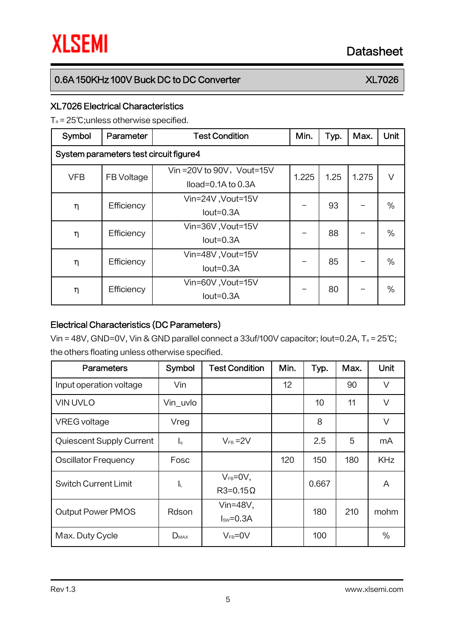# 0.6A 150KHz 100V Buck DC to DC Converter XLT026

### XL7026 Electrical Characteristics

T<sup>a</sup> = 25℃;unless otherwise specified.

| Symbol                                 | Parameter  | <b>Test Condition</b>                                | Min.  | Typ. | Max.  | Unit |  |
|----------------------------------------|------------|------------------------------------------------------|-------|------|-------|------|--|
| System parameters test circuit figure4 |            |                                                      |       |      |       |      |  |
| <b>VFB</b>                             | FB Voltage | Vin = 20V to 90V, Vout=15V<br>$Iload=0.1A$ to $0.3A$ | 1.225 | 1.25 | 1.275 | V    |  |
| η                                      | Efficiency | Vin=24V, Vout=15V<br>$Iout=0.3A$                     |       | 93   |       | $\%$ |  |
| η                                      | Efficiency | Vin=36V, Vout=15V<br>$Iout=0.3A$                     |       | 88   |       | $\%$ |  |
| η                                      | Efficiency | Vin=48V, Vout=15V<br>$Iout=0.3A$                     |       | 85   |       | $\%$ |  |
| η                                      | Efficiency | Vin=60V, Vout=15V<br>$Iout=0.3A$                     |       | 80   |       | $\%$ |  |

### Electrical Characteristics (DC Parameters)

Vin = 48V, GND=0V, Vin & GND parallel connect a 33uf/100V capacitor; Iout=0.2A, T<sup>a</sup> = 25℃; the others floating unless otherwise specified.

| <b>Parameters</b>           | Symbol                    | <b>Test Condition</b>              | Min. | Typ.  | Max. | Unit       |
|-----------------------------|---------------------------|------------------------------------|------|-------|------|------------|
| Input operation voltage     | Vin                       |                                    | 12   |       | 90   | V          |
| <b>VIN UVLO</b>             | Vin_uvlo                  |                                    |      | 10    | 11   | V          |
| <b>VREG</b> voltage         | Vreg                      |                                    |      | 8     |      | $\vee$     |
| Quiescent Supply Current    | $\mathsf{I}_{\mathsf{q}}$ | $V_{FB} = 2V$                      |      | 2.5   | 5    | mA         |
| <b>Oscillator Frequency</b> | Fosc                      |                                    | 120  | 150   | 180  | <b>KHz</b> |
| <b>Switch Current Limit</b> | ΙL                        | $V_{FB} = 0V$ ,<br>$R3=0.15\Omega$ |      | 0.667 |      | A          |
| <b>Output Power PMOS</b>    | Rdson                     | Vin= $48V$ ,<br>$Isw = 0.3A$       |      | 180   | 210  | mohm       |
| Max. Duty Cycle             | $D_{MAX}$                 | $V_{FB} = 0V$                      |      | 100   |      | $\%$       |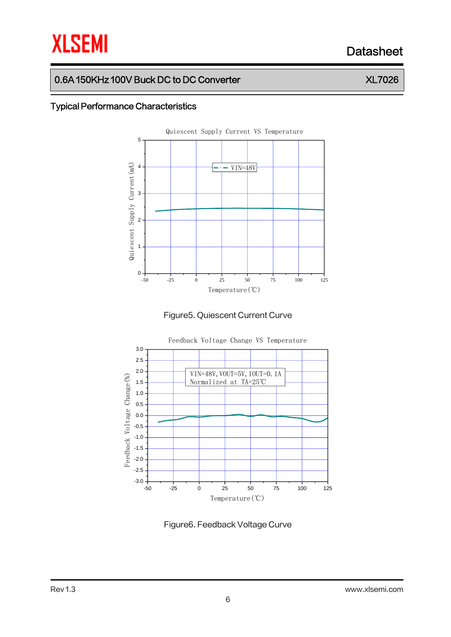# **XLSEMI** Datasheet

# 0.6A 150KHz 100V Buck DC to DC Converter XLT026

### Typical Performance Characteristics







Figure6. Feedback Voltage Curve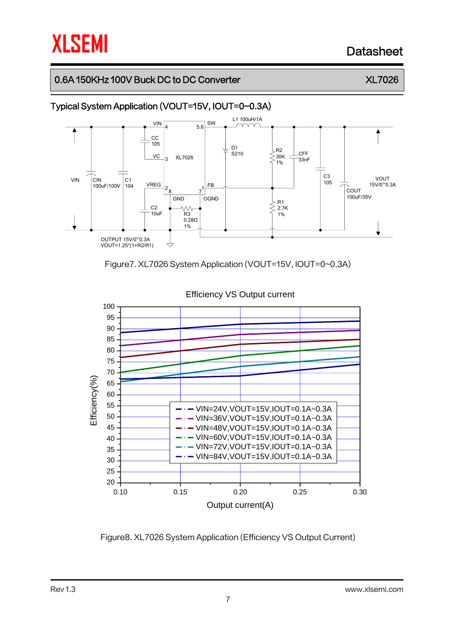# **XLSEMI**

# Datasheet

## 0.6A 150KHz 100V Buck DC to DC Converter XLT026

# Typical System Application (VOUT=15V, IOUT=0~0.3A)







Figure8. XL7026 System Application (Efficiency VS Output Current)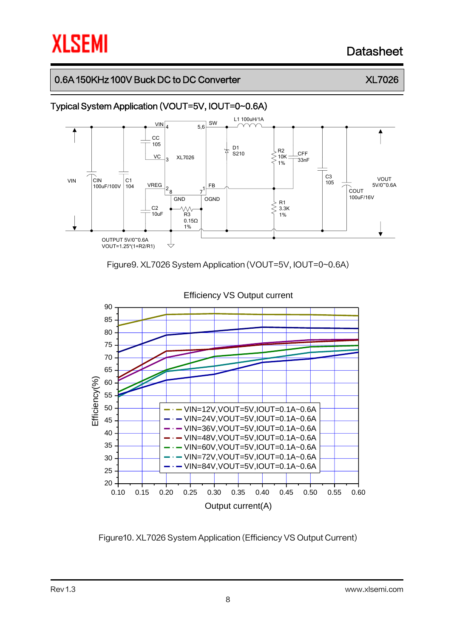# **XLSEMI**

# Datasheet

## 0.6A 150KHz 100V Buck DC to DC Converter XLT026







Figure10. XL7026 System Application (Efficiency VS Output Current)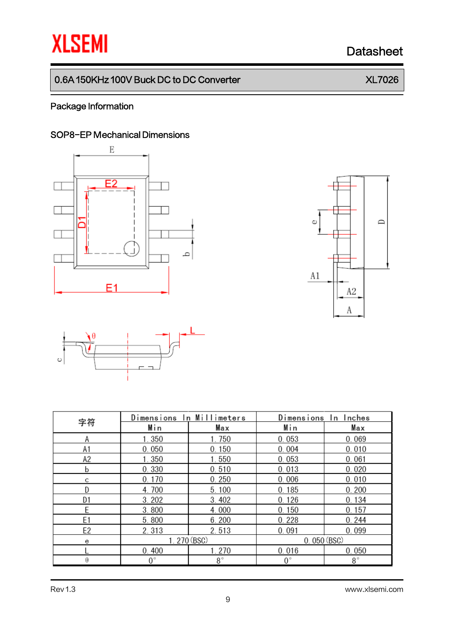# **XLSEMI** Datasheet

# 0.6A 150KHz 100V Buck DC to DC Converter XL7026

### Package Information

### SOP8-EP Mechanical Dimensions







|                | Dimensions  | In Millimeters | Dimensions<br>In Inches |             |  |
|----------------|-------------|----------------|-------------------------|-------------|--|
| 字符             | Min         | Max            | Min                     | Max         |  |
| Α              | 1.350       | 1.750          | 0.053                   | 0.069       |  |
| A1             | 0.050       | 0.150          | 0.004                   | 0.010       |  |
| A2             | 1.350       | 1.550          | 0.053                   | 0.061       |  |
| b              | 0.330       | 0.510          | 0.013                   | 0.020       |  |
| С              | 0.170       | 0.250          | 0.006                   | 0.010       |  |
| D              | 4.700       | 5.100          | 0.185                   | 0.200       |  |
| D1             | 3.202       | 3.402          | 0.126                   | 0.134       |  |
| E              | 3.800       | 4.000          | 0.150                   | 0.157       |  |
| E <sub>1</sub> | 5.800       | 6.200          | 0.228                   | 0.244       |  |
| E <sub>2</sub> | 2.313       | 2.513          | 0.091                   | 0.099       |  |
| е              | 1.270 (BSC) |                | 0.050(BSC)              |             |  |
|                | 0.400       | 1.270          | 0.016                   | 0.050       |  |
| θ              | $0^{\circ}$ | $8^{\circ}$    | $0^{\circ}$             | $8^{\circ}$ |  |

Rev 1.3 www.xlsemi.com